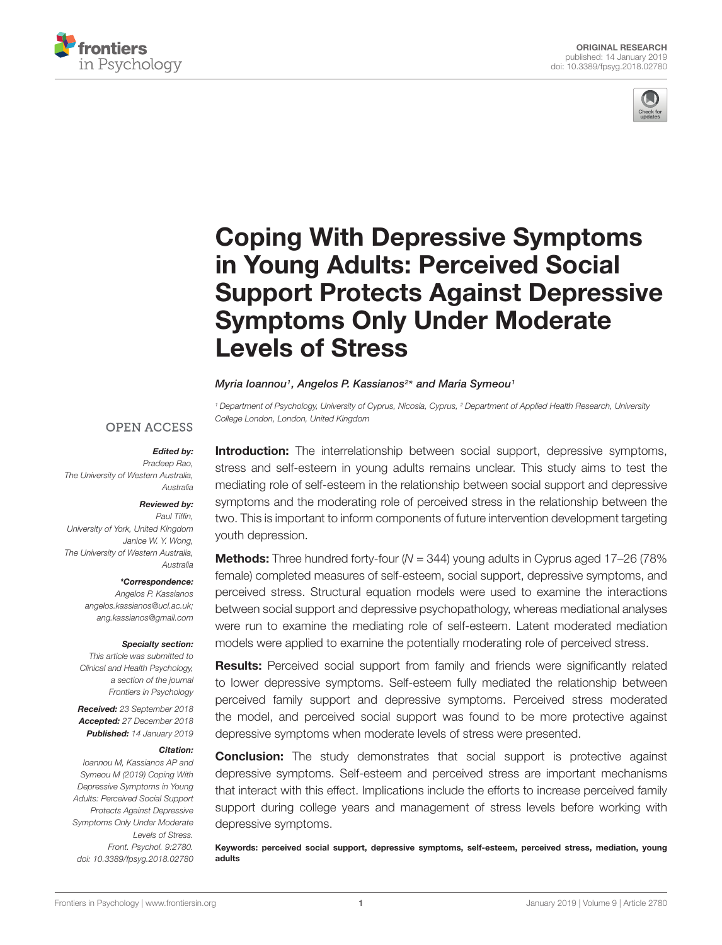



# Coping With Depressive Symptoms in Young Adults: Perceived Social [Support Protects Against Depressive](https://www.frontiersin.org/articles/10.3389/fpsyg.2018.02780/full) Symptoms Only Under Moderate Levels of Stress

#### [Myria Ioannou](http://loop.frontiersin.org/people/634983/overview)1, [Angelos P. Kassianos](http://loop.frontiersin.org/people/289352/overview)<sup>2\*</sup> and [Maria Symeou](http://loop.frontiersin.org/people/664308/overview)1

<sup>1</sup> Department of Psychology, University of Cyprus, Nicosia, Cyprus, <sup>2</sup> Department of Applied Health Research, University College London, London, United Kingdom

## **OPEN ACCESS**

#### Edited by:

Pradeep Rao, The University of Western Australia, Australia

#### Reviewed by:

Paul Tiffin, University of York, United Kingdom Janice W. Y. Wong, The University of Western Australia, Australia

#### \*Correspondence:

Angelos P. Kassianos angelos.kassianos@ucl.ac.uk; ang.kassianos@gmail.com

#### Specialty section:

This article was submitted to Clinical and Health Psychology, a section of the journal Frontiers in Psychology

Received: 23 September 2018 Accepted: 27 December 2018 Published: 14 January 2019

#### Citation:

Ioannou M, Kassianos AP and Symeou M (2019) Coping With Depressive Symptoms in Young Adults: Perceived Social Support Protects Against Depressive Symptoms Only Under Moderate Levels of Stress. Front. Psychol. 9:2780. doi: [10.3389/fpsyg.2018.02780](https://doi.org/10.3389/fpsyg.2018.02780)

Introduction: The interrelationship between social support, depressive symptoms, stress and self-esteem in young adults remains unclear. This study aims to test the mediating role of self-esteem in the relationship between social support and depressive symptoms and the moderating role of perceived stress in the relationship between the two. This is important to inform components of future intervention development targeting youth depression.

**Methods:** Three hundred forty-four ( $N = 344$ ) young adults in Cyprus aged 17–26 (78%) female) completed measures of self-esteem, social support, depressive symptoms, and perceived stress. Structural equation models were used to examine the interactions between social support and depressive psychopathology, whereas mediational analyses were run to examine the mediating role of self-esteem. Latent moderated mediation models were applied to examine the potentially moderating role of perceived stress.

**Results:** Perceived social support from family and friends were significantly related to lower depressive symptoms. Self-esteem fully mediated the relationship between perceived family support and depressive symptoms. Perceived stress moderated the model, and perceived social support was found to be more protective against depressive symptoms when moderate levels of stress were presented.

**Conclusion:** The study demonstrates that social support is protective against depressive symptoms. Self-esteem and perceived stress are important mechanisms that interact with this effect. Implications include the efforts to increase perceived family support during college years and management of stress levels before working with depressive symptoms.

Keywords: perceived social support, depressive symptoms, self-esteem, perceived stress, mediation, young adults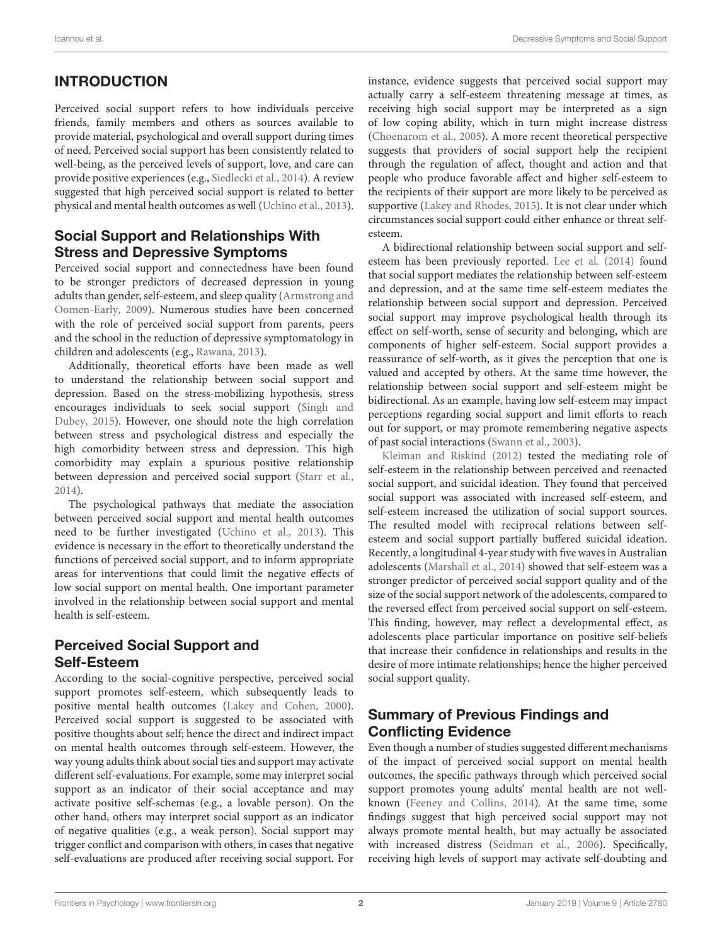# INTRODUCTION

Perceived social support refers to how individuals perceive friends, family members and others as sources available to provide material, psychological and overall support during times of need. Perceived social support has been consistently related to well-being, as the perceived levels of support, love, and care can provide positive experiences (e.g., [Siedlecki et al.,](#page-9-0) [2014\)](#page-9-0). A review suggested that high perceived social support is related to better physical and mental health outcomes as well [\(Uchino et al.,](#page-10-0) [2013\)](#page-10-0).

# Social Support and Relationships With Stress and Depressive Symptoms

Perceived social support and connectedness have been found to be stronger predictors of decreased depression in young adults than gender, self-esteem, and sleep quality [\(Armstrong and](#page-9-1) [Oomen-Early,](#page-9-1) [2009\)](#page-9-1). Numerous studies have been concerned with the role of perceived social support from parents, peers and the school in the reduction of depressive symptomatology in children and adolescents (e.g., [Rawana,](#page-9-2) [2013\)](#page-9-2).

Additionally, theoretical efforts have been made as well to understand the relationship between social support and depression. Based on the stress-mobilizing hypothesis, stress encourages individuals to seek social support [\(Singh and](#page-9-3) [Dubey,](#page-9-3) [2015\)](#page-9-3). However, one should note the high correlation between stress and psychological distress and especially the high comorbidity between stress and depression. This high comorbidity may explain a spurious positive relationship between depression and perceived social support [\(Starr et al.,](#page-9-4) [2014\)](#page-9-4).

The psychological pathways that mediate the association between perceived social support and mental health outcomes need to be further investigated [\(Uchino et al.,](#page-10-0) [2013\)](#page-10-0). This evidence is necessary in the effort to theoretically understand the functions of perceived social support, and to inform appropriate areas for interventions that could limit the negative effects of low social support on mental health. One important parameter involved in the relationship between social support and mental health is self-esteem.

## Perceived Social Support and Self-Esteem

According to the social-cognitive perspective, perceived social support promotes self-esteem, which subsequently leads to positive mental health outcomes [\(Lakey and Cohen,](#page-9-5) [2000\)](#page-9-5). Perceived social support is suggested to be associated with positive thoughts about self; hence the direct and indirect impact on mental health outcomes through self-esteem. However, the way young adults think about social ties and support may activate different self-evaluations. For example, some may interpret social support as an indicator of their social acceptance and may activate positive self-schemas (e.g., a lovable person). On the other hand, others may interpret social support as an indicator of negative qualities (e.g., a weak person). Social support may trigger conflict and comparison with others, in cases that negative self-evaluations are produced after receiving social support. For

instance, evidence suggests that perceived social support may actually carry a self-esteem threatening message at times, as receiving high social support may be interpreted as a sign of low coping ability, which in turn might increase distress [\(Choenarom et al.,](#page-9-6) [2005\)](#page-9-6). A more recent theoretical perspective suggests that providers of social support help the recipient through the regulation of affect, thought and action and that people who produce favorable affect and higher self-esteem to the recipients of their support are more likely to be perceived as supportive [\(Lakey and Rhodes,](#page-9-7) [2015\)](#page-9-7). It is not clear under which circumstances social support could either enhance or threat selfesteem.

A bidirectional relationship between social support and selfesteem has been previously reported. [Lee et al.](#page-9-8) [\(2014\)](#page-9-8) found that social support mediates the relationship between self-esteem and depression, and at the same time self-esteem mediates the relationship between social support and depression. Perceived social support may improve psychological health through its effect on self-worth, sense of security and belonging, which are components of higher self-esteem. Social support provides a reassurance of self-worth, as it gives the perception that one is valued and accepted by others. At the same time however, the relationship between social support and self-esteem might be bidirectional. As an example, having low self-esteem may impact perceptions regarding social support and limit efforts to reach out for support, or may promote remembering negative aspects of past social interactions [\(Swann et al.,](#page-10-1) [2003\)](#page-10-1).

[Kleiman and Riskind](#page-9-9) [\(2012\)](#page-9-9) tested the mediating role of self-esteem in the relationship between perceived and reenacted social support, and suicidal ideation. They found that perceived social support was associated with increased self-esteem, and self-esteem increased the utilization of social support sources. The resulted model with reciprocal relations between selfesteem and social support partially buffered suicidal ideation. Recently, a longitudinal 4-year study with five waves in Australian adolescents [\(Marshall et al.,](#page-9-10) [2014\)](#page-9-10) showed that self-esteem was a stronger predictor of perceived social support quality and of the size of the social support network of the adolescents, compared to the reversed effect from perceived social support on self-esteem. This finding, however, may reflect a developmental effect, as adolescents place particular importance on positive self-beliefs that increase their confidence in relationships and results in the desire of more intimate relationships; hence the higher perceived social support quality.

# Summary of Previous Findings and Conflicting Evidence

Even though a number of studies suggested different mechanisms of the impact of perceived social support on mental health outcomes, the specific pathways through which perceived social support promotes young adults' mental health are not wellknown [\(Feeney and Collins,](#page-9-11) [2014\)](#page-9-11). At the same time, some findings suggest that high perceived social support may not always promote mental health, but may actually be associated with increased distress [\(Seidman et al.,](#page-9-12) [2006\)](#page-9-12). Specifically, receiving high levels of support may activate self-doubting and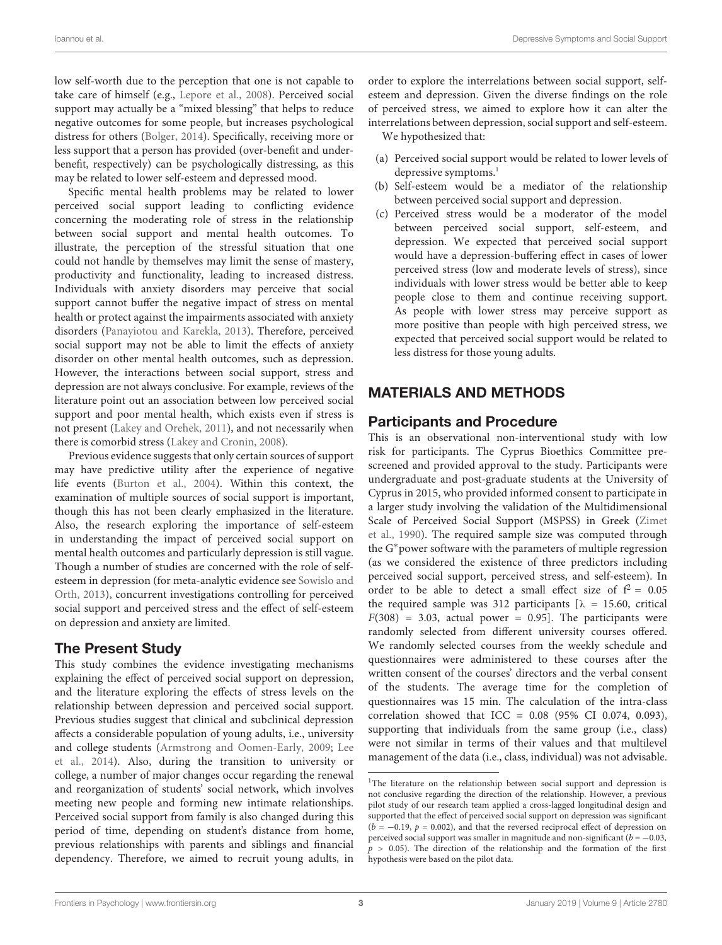low self-worth due to the perception that one is not capable to take care of himself (e.g., [Lepore et al.,](#page-9-13) [2008\)](#page-9-13). Perceived social support may actually be a "mixed blessing" that helps to reduce negative outcomes for some people, but increases psychological distress for others [\(Bolger,](#page-9-14) [2014\)](#page-9-14). Specifically, receiving more or less support that a person has provided (over-benefit and underbenefit, respectively) can be psychologically distressing, as this may be related to lower self-esteem and depressed mood.

Specific mental health problems may be related to lower perceived social support leading to conflicting evidence concerning the moderating role of stress in the relationship between social support and mental health outcomes. To illustrate, the perception of the stressful situation that one could not handle by themselves may limit the sense of mastery, productivity and functionality, leading to increased distress. Individuals with anxiety disorders may perceive that social support cannot buffer the negative impact of stress on mental health or protect against the impairments associated with anxiety disorders [\(Panayiotou and Karekla,](#page-9-15) [2013\)](#page-9-15). Therefore, perceived social support may not be able to limit the effects of anxiety disorder on other mental health outcomes, such as depression. However, the interactions between social support, stress and depression are not always conclusive. For example, reviews of the literature point out an association between low perceived social support and poor mental health, which exists even if stress is not present [\(Lakey and Orehek,](#page-9-16) [2011\)](#page-9-16), and not necessarily when there is comorbid stress [\(Lakey and Cronin,](#page-9-17) [2008\)](#page-9-17).

Previous evidence suggests that only certain sources of support may have predictive utility after the experience of negative life events [\(Burton et al.,](#page-9-18) [2004\)](#page-9-18). Within this context, the examination of multiple sources of social support is important, though this has not been clearly emphasized in the literature. Also, the research exploring the importance of self-esteem in understanding the impact of perceived social support on mental health outcomes and particularly depression is still vague. Though a number of studies are concerned with the role of selfesteem in depression (for meta-analytic evidence see [Sowislo and](#page-9-19) [Orth,](#page-9-19) [2013\)](#page-9-19), concurrent investigations controlling for perceived social support and perceived stress and the effect of self-esteem on depression and anxiety are limited.

## The Present Study

This study combines the evidence investigating mechanisms explaining the effect of perceived social support on depression, and the literature exploring the effects of stress levels on the relationship between depression and perceived social support. Previous studies suggest that clinical and subclinical depression affects a considerable population of young adults, i.e., university and college students [\(Armstrong and Oomen-Early,](#page-9-1) [2009;](#page-9-1) [Lee](#page-9-8) [et al.,](#page-9-8) [2014\)](#page-9-8). Also, during the transition to university or college, a number of major changes occur regarding the renewal and reorganization of students' social network, which involves meeting new people and forming new intimate relationships. Perceived social support from family is also changed during this period of time, depending on student's distance from home, previous relationships with parents and siblings and financial dependency. Therefore, we aimed to recruit young adults, in order to explore the interrelations between social support, selfesteem and depression. Given the diverse findings on the role of perceived stress, we aimed to explore how it can alter the interrelations between depression, social support and self-esteem.

We hypothesized that:

- (a) Perceived social support would be related to lower levels of depressive symptoms.<sup>[1](#page-2-0)</sup>
- (b) Self-esteem would be a mediator of the relationship between perceived social support and depression.
- (c) Perceived stress would be a moderator of the model between perceived social support, self-esteem, and depression. We expected that perceived social support would have a depression-buffering effect in cases of lower perceived stress (low and moderate levels of stress), since individuals with lower stress would be better able to keep people close to them and continue receiving support. As people with lower stress may perceive support as more positive than people with high perceived stress, we expected that perceived social support would be related to less distress for those young adults.

# MATERIALS AND METHODS

## Participants and Procedure

This is an observational non-interventional study with low risk for participants. The Cyprus Bioethics Committee prescreened and provided approval to the study. Participants were undergraduate and post-graduate students at the University of Cyprus in 2015, who provided informed consent to participate in a larger study involving the validation of the Multidimensional Scale of Perceived Social Support (MSPSS) in Greek [\(Zimet](#page-10-2) [et al.,](#page-10-2) [1990\)](#page-10-2). The required sample size was computed through the G∗power software with the parameters of multiple regression (as we considered the existence of three predictors including perceived social support, perceived stress, and self-esteem). In order to be able to detect a small effect size of  $f^2 = 0.05$ the required sample was 312 participants  $[\lambda = 15.60, \text{ critical}]$  $F(308) = 3.03$ , actual power = 0.95]. The participants were randomly selected from different university courses offered. We randomly selected courses from the weekly schedule and questionnaires were administered to these courses after the written consent of the courses' directors and the verbal consent of the students. The average time for the completion of questionnaires was 15 min. The calculation of the intra-class correlation showed that ICC =  $0.08$  (95% CI 0.074, 0.093), supporting that individuals from the same group (i.e., class) were not similar in terms of their values and that multilevel management of the data (i.e., class, individual) was not advisable.

<span id="page-2-0"></span><sup>&</sup>lt;sup>1</sup>The literature on the relationship between social support and depression is not conclusive regarding the direction of the relationship. However, a previous pilot study of our research team applied a cross-lagged longitudinal design and supported that the effect of perceived social support on depression was significant  $(b = -0.19, p = 0.002)$ , and that the reversed reciprocal effect of depression on perceived social support was smaller in magnitude and non-significant ( $b = -0.03$ ,  $p > 0.05$ ). The direction of the relationship and the formation of the first hypothesis were based on the pilot data.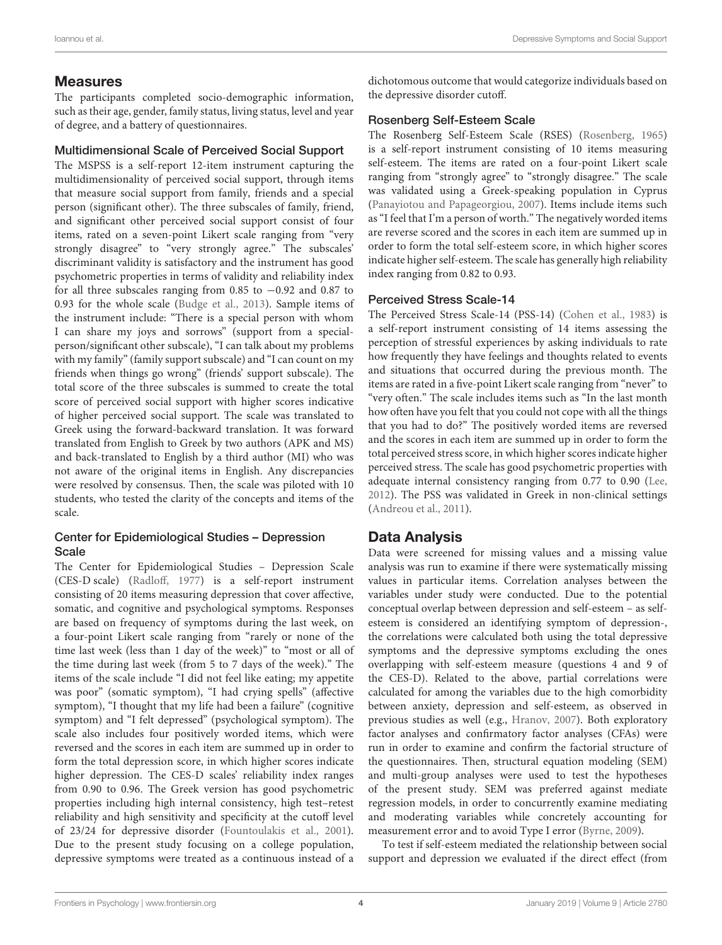## Measures

The participants completed socio-demographic information, such as their age, gender, family status, living status, level and year of degree, and a battery of questionnaires.

## Multidimensional Scale of Perceived Social Support

The MSPSS is a self-report 12-item instrument capturing the multidimensionality of perceived social support, through items that measure social support from family, friends and a special person (significant other). The three subscales of family, friend, and significant other perceived social support consist of four items, rated on a seven-point Likert scale ranging from "very strongly disagree" to "very strongly agree." The subscales' discriminant validity is satisfactory and the instrument has good psychometric properties in terms of validity and reliability index for all three subscales ranging from 0.85 to −0.92 and 0.87 to 0.93 for the whole scale [\(Budge et al.,](#page-9-20) [2013\)](#page-9-20). Sample items of the instrument include: "There is a special person with whom I can share my joys and sorrows" (support from a specialperson/significant other subscale), "I can talk about my problems with my family" (family support subscale) and "I can count on my friends when things go wrong" (friends' support subscale). The total score of the three subscales is summed to create the total score of perceived social support with higher scores indicative of higher perceived social support. The scale was translated to Greek using the forward-backward translation. It was forward translated from English to Greek by two authors (APK and MS) and back-translated to English by a third author (MI) who was not aware of the original items in English. Any discrepancies were resolved by consensus. Then, the scale was piloted with 10 students, who tested the clarity of the concepts and items of the scale.

#### Center for Epidemiological Studies – Depression Scale

The Center for Epidemiological Studies – Depression Scale (CES-D scale) [\(Radloff,](#page-9-21) [1977\)](#page-9-21) is a self-report instrument consisting of 20 items measuring depression that cover affective, somatic, and cognitive and psychological symptoms. Responses are based on frequency of symptoms during the last week, on a four-point Likert scale ranging from "rarely or none of the time last week (less than 1 day of the week)" to "most or all of the time during last week (from 5 to 7 days of the week)." The items of the scale include "I did not feel like eating; my appetite was poor" (somatic symptom), "I had crying spells" (affective symptom), "I thought that my life had been a failure" (cognitive symptom) and "I felt depressed" (psychological symptom). The scale also includes four positively worded items, which were reversed and the scores in each item are summed up in order to form the total depression score, in which higher scores indicate higher depression. The CES-D scales' reliability index ranges from 0.90 to 0.96. The Greek version has good psychometric properties including high internal consistency, high test–retest reliability and high sensitivity and specificity at the cutoff level of 23/24 for depressive disorder [\(Fountoulakis et al.,](#page-9-22) [2001\)](#page-9-22). Due to the present study focusing on a college population, depressive symptoms were treated as a continuous instead of a

dichotomous outcome that would categorize individuals based on the depressive disorder cutoff.

## Rosenberg Self-Esteem Scale

The Rosenberg Self-Esteem Scale (RSES) [\(Rosenberg,](#page-9-23) [1965\)](#page-9-23) is a self-report instrument consisting of 10 items measuring self-esteem. The items are rated on a four-point Likert scale ranging from "strongly agree" to "strongly disagree." The scale was validated using a Greek-speaking population in Cyprus [\(Panayiotou and Papageorgiou,](#page-9-24) [2007\)](#page-9-24). Items include items such as "I feel that I'm a person of worth." The negatively worded items are reverse scored and the scores in each item are summed up in order to form the total self-esteem score, in which higher scores indicate higher self-esteem. The scale has generally high reliability index ranging from 0.82 to 0.93.

## Perceived Stress Scale-14

The Perceived Stress Scale-14 (PSS-14) [\(Cohen et al.,](#page-9-25) [1983\)](#page-9-25) is a self-report instrument consisting of 14 items assessing the perception of stressful experiences by asking individuals to rate how frequently they have feelings and thoughts related to events and situations that occurred during the previous month. The items are rated in a five-point Likert scale ranging from "never" to "very often." The scale includes items such as "In the last month how often have you felt that you could not cope with all the things that you had to do?" The positively worded items are reversed and the scores in each item are summed up in order to form the total perceived stress score, in which higher scores indicate higher perceived stress. The scale has good psychometric properties with adequate internal consistency ranging from 0.77 to 0.90 [\(Lee,](#page-9-26) [2012\)](#page-9-26). The PSS was validated in Greek in non-clinical settings [\(Andreou et al.,](#page-9-27) [2011\)](#page-9-27).

## Data Analysis

Data were screened for missing values and a missing value analysis was run to examine if there were systematically missing values in particular items. Correlation analyses between the variables under study were conducted. Due to the potential conceptual overlap between depression and self-esteem – as selfesteem is considered an identifying symptom of depression-, the correlations were calculated both using the total depressive symptoms and the depressive symptoms excluding the ones overlapping with self-esteem measure (questions 4 and 9 of the CES-D). Related to the above, partial correlations were calculated for among the variables due to the high comorbidity between anxiety, depression and self-esteem, as observed in previous studies as well (e.g., [Hranov,](#page-9-28) [2007\)](#page-9-28). Both exploratory factor analyses and confirmatory factor analyses (CFAs) were run in order to examine and confirm the factorial structure of the questionnaires. Then, structural equation modeling (SEM) and multi-group analyses were used to test the hypotheses of the present study. SEM was preferred against mediate regression models, in order to concurrently examine mediating and moderating variables while concretely accounting for measurement error and to avoid Type I error [\(Byrne,](#page-9-29) [2009\)](#page-9-29).

To test if self-esteem mediated the relationship between social support and depression we evaluated if the direct effect (from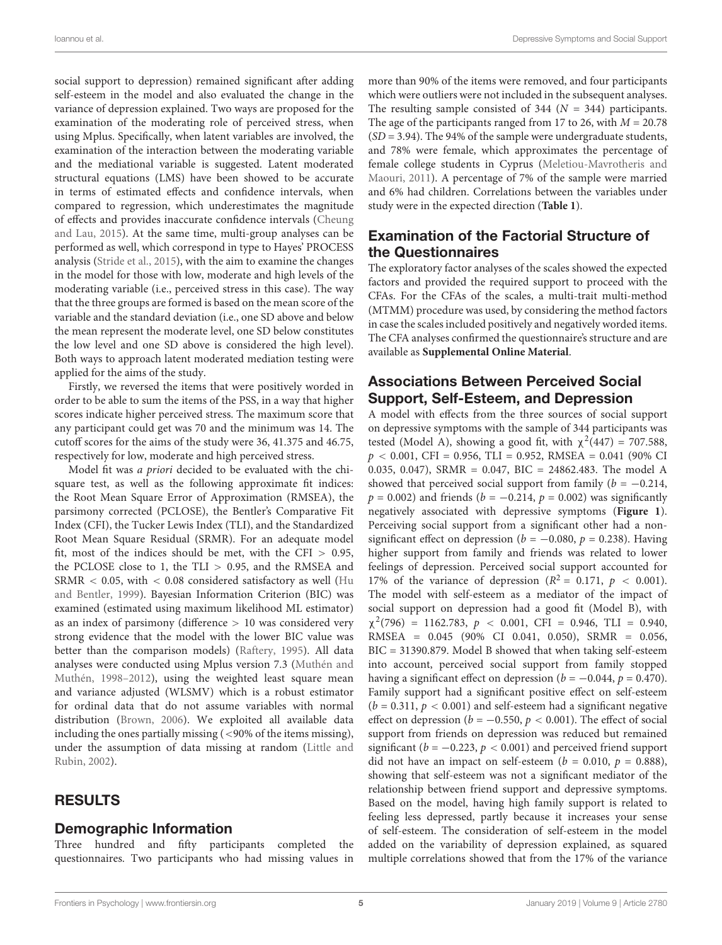social support to depression) remained significant after adding self-esteem in the model and also evaluated the change in the variance of depression explained. Two ways are proposed for the examination of the moderating role of perceived stress, when using Mplus. Specifically, when latent variables are involved, the examination of the interaction between the moderating variable and the mediational variable is suggested. Latent moderated structural equations (LMS) have been showed to be accurate in terms of estimated effects and confidence intervals, when compared to regression, which underestimates the magnitude of effects and provides inaccurate confidence intervals [\(Cheung](#page-9-30) [and Lau,](#page-9-30) [2015\)](#page-9-30). At the same time, multi-group analyses can be performed as well, which correspond in type to Hayes' PROCESS analysis [\(Stride et al.,](#page-10-3) [2015\)](#page-10-3), with the aim to examine the changes in the model for those with low, moderate and high levels of the moderating variable (i.e., perceived stress in this case). The way that the three groups are formed is based on the mean score of the variable and the standard deviation (i.e., one SD above and below the mean represent the moderate level, one SD below constitutes the low level and one SD above is considered the high level). Both ways to approach latent moderated mediation testing were applied for the aims of the study.

Firstly, we reversed the items that were positively worded in order to be able to sum the items of the PSS, in a way that higher scores indicate higher perceived stress. The maximum score that any participant could get was 70 and the minimum was 14. The cutoff scores for the aims of the study were 36, 41.375 and 46.75, respectively for low, moderate and high perceived stress.

Model fit was a priori decided to be evaluated with the chisquare test, as well as the following approximate fit indices: the Root Mean Square Error of Approximation (RMSEA), the parsimony corrected (PCLOSE), the Bentler's Comparative Fit Index (CFI), the Tucker Lewis Index (TLI), and the Standardized Root Mean Square Residual (SRMR). For an adequate model fit, most of the indices should be met, with the CFI  $> 0.95$ , the PCLOSE close to 1, the TLI > 0.95, and the RMSEA and SRMR < 0.05, with < 0.08 considered satisfactory as well [\(Hu](#page-9-31) [and Bentler,](#page-9-31) [1999\)](#page-9-31). Bayesian Information Criterion (BIC) was examined (estimated using maximum likelihood ML estimator) as an index of parsimony (difference > 10 was considered very strong evidence that the model with the lower BIC value was better than the comparison models) [\(Raftery,](#page-9-32) [1995\)](#page-9-32). All data analyses were conducted using Mplus version 7.3 [\(Muthén and](#page-9-33) [Muthén,](#page-9-33) [1998–2012\)](#page-9-33), using the weighted least square mean and variance adjusted (WLSMV) which is a robust estimator for ordinal data that do not assume variables with normal distribution [\(Brown,](#page-9-34) [2006\)](#page-9-34). We exploited all available data including the ones partially missing (<90% of the items missing), under the assumption of data missing at random [\(Little and](#page-9-35) [Rubin,](#page-9-35) [2002\)](#page-9-35).

## RESULTS

## Demographic Information

Three hundred and fifty participants completed the questionnaires. Two participants who had missing values in more than 90% of the items were removed, and four participants which were outliers were not included in the subsequent analyses. The resulting sample consisted of 344 ( $N = 344$ ) participants. The age of the participants ranged from 17 to 26, with  $M = 20.78$  $(SD = 3.94)$ . The 94% of the sample were undergraduate students, and 78% were female, which approximates the percentage of female college students in Cyprus [\(Meletiou-Mavrotheris and](#page-9-36) [Maouri,](#page-9-36) [2011\)](#page-9-36). A percentage of 7% of the sample were married and 6% had children. Correlations between the variables under study were in the expected direction (**[Table 1](#page-5-0)**).

# Examination of the Factorial Structure of the Questionnaires

The exploratory factor analyses of the scales showed the expected factors and provided the required support to proceed with the CFAs. For the CFAs of the scales, a multi-trait multi-method (MTMM) procedure was used, by considering the method factors in case the scales included positively and negatively worded items. The CFA analyses confirmed the questionnaire's structure and are available as **[Supplemental Online Material](#page-8-0)**.

## Associations Between Perceived Social Support, Self-Esteem, and Depression

A model with effects from the three sources of social support on depressive symptoms with the sample of 344 participants was tested (Model A), showing a good fit, with  $\chi^2(447) = 707.588$ ,  $p < 0.001$ , CFI = 0.956, TLI = 0.952, RMSEA = 0.041 (90% CI) 0.035, 0.047), SRMR = 0.047, BIC = 24862.483. The model A showed that perceived social support from family ( $b = -0.214$ ,  $p = 0.002$ ) and friends ( $b = -0.214$ ,  $p = 0.002$ ) was significantly negatively associated with depressive symptoms (**[Figure 1](#page-5-1)**). Perceiving social support from a significant other had a nonsignificant effect on depression ( $b = -0.080$ ,  $p = 0.238$ ). Having higher support from family and friends was related to lower feelings of depression. Perceived social support accounted for 17% of the variance of depression ( $R^2 = 0.171$ ,  $p < 0.001$ ). The model with self-esteem as a mediator of the impact of social support on depression had a good fit (Model B), with  $\chi^2$ (796) = 1162.783,  $p \lt 0.001$ , CFI = 0.946, TLI = 0.940, RMSEA = 0.045 (90% CI 0.041, 0.050), SRMR = 0.056, BIC = 31390.879. Model B showed that when taking self-esteem into account, perceived social support from family stopped having a significant effect on depression ( $b = -0.044$ ,  $p = 0.470$ ). Family support had a significant positive effect on self-esteem  $(b = 0.311, p < 0.001)$  and self-esteem had a significant negative effect on depression ( $b = -0.550$ ,  $p < 0.001$ ). The effect of social support from friends on depression was reduced but remained significant ( $b = -0.223$ ,  $p < 0.001$ ) and perceived friend support did not have an impact on self-esteem ( $b = 0.010$ ,  $p = 0.888$ ), showing that self-esteem was not a significant mediator of the relationship between friend support and depressive symptoms. Based on the model, having high family support is related to feeling less depressed, partly because it increases your sense of self-esteem. The consideration of self-esteem in the model added on the variability of depression explained, as squared multiple correlations showed that from the 17% of the variance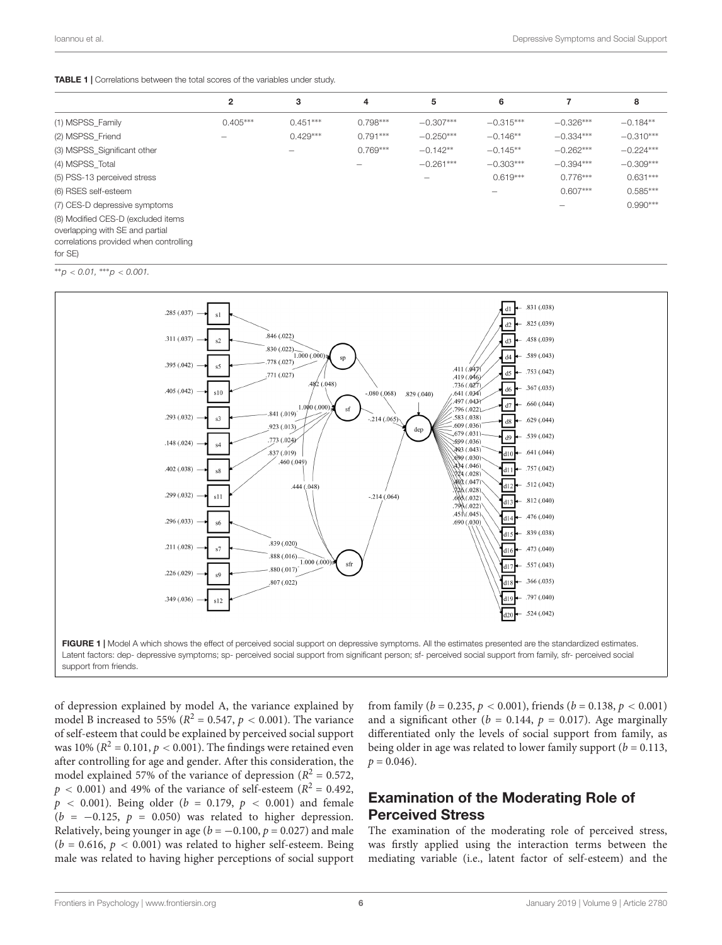#### <span id="page-5-0"></span>TABLE 1 | Correlations between the total scores of the variables under study.

|                                                                                                                            | $\overline{2}$ | 3          | 4          | 5           | 6           |             | 8           |
|----------------------------------------------------------------------------------------------------------------------------|----------------|------------|------------|-------------|-------------|-------------|-------------|
| (1) MSPSS_Family                                                                                                           | $0.405***$     | $0.451***$ | $0.798***$ | $-0.307***$ | $-0.315***$ | $-0.326***$ | $-0.184**$  |
| (2) MSPSS_Friend                                                                                                           |                | $0.429***$ | $0.791***$ | $-0.250***$ | $-0.146**$  | $-0.334***$ | $-0.310***$ |
| (3) MSPSS_Significant other                                                                                                |                |            | $0.769***$ | $-0.142**$  | $-0.145**$  | $-0.262***$ | $-0.224***$ |
| (4) MSPSS_Total                                                                                                            |                |            |            | $-0.261***$ | $-0.303***$ | $-0.394***$ | $-0.309***$ |
| (5) PSS-13 perceived stress                                                                                                |                |            |            |             | $0.619***$  | $0.776***$  | $0.631***$  |
| (6) RSES self-esteem                                                                                                       |                |            |            |             |             | $0.607***$  | $0.585***$  |
| (7) CES-D depressive symptoms                                                                                              |                |            |            |             |             |             | $0.990***$  |
| (8) Modified CES-D (excluded items<br>overlapping with SE and partial<br>correlations provided when controlling<br>for SE) |                |            |            |             |             |             |             |

 $*^{**}p < 0.01, **p < 0.001$ .



<span id="page-5-1"></span>of depression explained by model A, the variance explained by model B increased to 55% ( $R^2 = 0.547$ ,  $p < 0.001$ ). The variance of self-esteem that could be explained by perceived social support was 10% ( $R^2$  = 0.101,  $p <$  0.001). The findings were retained even after controlling for age and gender. After this consideration, the model explained 57% of the variance of depression ( $R^2 = 0.572$ ,  $p < 0.001$ ) and 49% of the variance of self-esteem ( $R^2 = 0.492$ ,  $p \le 0.001$ ). Being older ( $b = 0.179$ ,  $p \le 0.001$ ) and female  $(b = -0.125, p = 0.050)$  was related to higher depression. Relatively, being younger in age ( $b = -0.100$ ,  $p = 0.027$ ) and male ( $b = 0.616$ ,  $p < 0.001$ ) was related to higher self-esteem. Being

male was related to having higher perceptions of social support

from family ( $b = 0.235$ ,  $p < 0.001$ ), friends ( $b = 0.138$ ,  $p < 0.001$ ) and a significant other ( $b = 0.144$ ,  $p = 0.017$ ). Age marginally differentiated only the levels of social support from family, as being older in age was related to lower family support ( $b = 0.113$ ,  $p = 0.046$ ).

# Examination of the Moderating Role of Perceived Stress

The examination of the moderating role of perceived stress, was firstly applied using the interaction terms between the mediating variable (i.e., latent factor of self-esteem) and the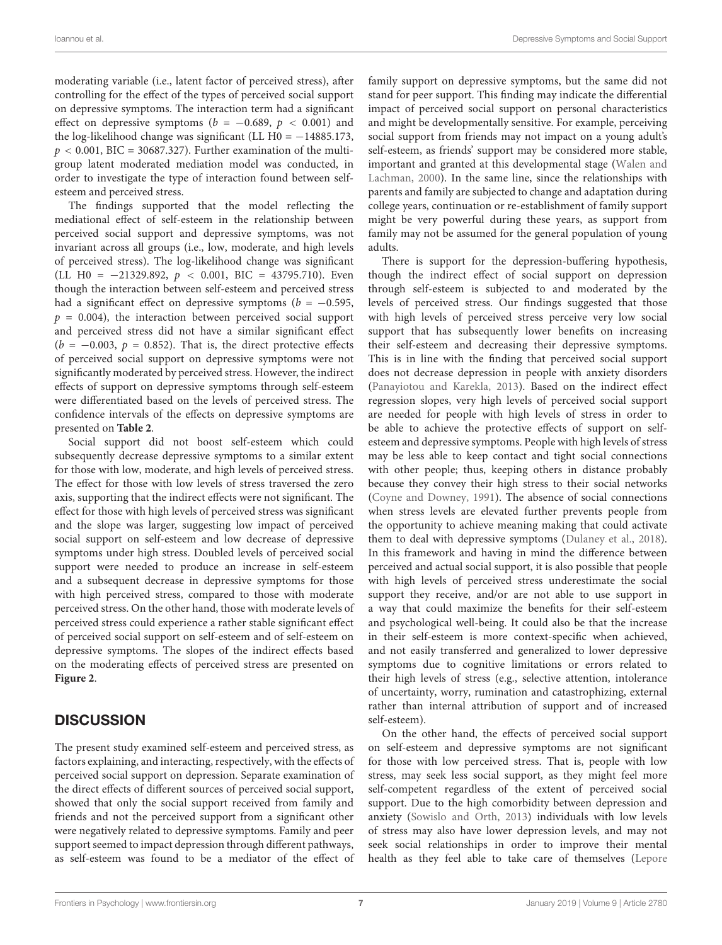moderating variable (i.e., latent factor of perceived stress), after controlling for the effect of the types of perceived social support on depressive symptoms. The interaction term had a significant effect on depressive symptoms ( $b = -0.689$ ,  $p < 0.001$ ) and the log-likelihood change was significant (LL H0 =  $-14885.173$ ,  $p < 0.001$ , BIC = 30687.327). Further examination of the multigroup latent moderated mediation model was conducted, in order to investigate the type of interaction found between selfesteem and perceived stress.

The findings supported that the model reflecting the mediational effect of self-esteem in the relationship between perceived social support and depressive symptoms, was not invariant across all groups (i.e., low, moderate, and high levels of perceived stress). The log-likelihood change was significant (LL H0 =  $-21329.892$ ,  $p < 0.001$ , BIC = 43795.710). Even though the interaction between self-esteem and perceived stress had a significant effect on depressive symptoms ( $b = -0.595$ ,  $p = 0.004$ ), the interaction between perceived social support and perceived stress did not have a similar significant effect  $(b = -0.003, p = 0.852)$ . That is, the direct protective effects of perceived social support on depressive symptoms were not significantly moderated by perceived stress. However, the indirect effects of support on depressive symptoms through self-esteem were differentiated based on the levels of perceived stress. The confidence intervals of the effects on depressive symptoms are presented on **[Table 2](#page-7-0)**.

Social support did not boost self-esteem which could subsequently decrease depressive symptoms to a similar extent for those with low, moderate, and high levels of perceived stress. The effect for those with low levels of stress traversed the zero axis, supporting that the indirect effects were not significant. The effect for those with high levels of perceived stress was significant and the slope was larger, suggesting low impact of perceived social support on self-esteem and low decrease of depressive symptoms under high stress. Doubled levels of perceived social support were needed to produce an increase in self-esteem and a subsequent decrease in depressive symptoms for those with high perceived stress, compared to those with moderate perceived stress. On the other hand, those with moderate levels of perceived stress could experience a rather stable significant effect of perceived social support on self-esteem and of self-esteem on depressive symptoms. The slopes of the indirect effects based on the moderating effects of perceived stress are presented on **[Figure 2](#page-7-1)**.

## **DISCUSSION**

The present study examined self-esteem and perceived stress, as factors explaining, and interacting, respectively, with the effects of perceived social support on depression. Separate examination of the direct effects of different sources of perceived social support, showed that only the social support received from family and friends and not the perceived support from a significant other were negatively related to depressive symptoms. Family and peer support seemed to impact depression through different pathways, as self-esteem was found to be a mediator of the effect of

family support on depressive symptoms, but the same did not stand for peer support. This finding may indicate the differential impact of perceived social support on personal characteristics and might be developmentally sensitive. For example, perceiving social support from friends may not impact on a young adult's self-esteem, as friends' support may be considered more stable, important and granted at this developmental stage [\(Walen and](#page-10-4) [Lachman,](#page-10-4) [2000\)](#page-10-4). In the same line, since the relationships with parents and family are subjected to change and adaptation during college years, continuation or re-establishment of family support might be very powerful during these years, as support from family may not be assumed for the general population of young adults.

There is support for the depression-buffering hypothesis, though the indirect effect of social support on depression through self-esteem is subjected to and moderated by the levels of perceived stress. Our findings suggested that those with high levels of perceived stress perceive very low social support that has subsequently lower benefits on increasing their self-esteem and decreasing their depressive symptoms. This is in line with the finding that perceived social support does not decrease depression in people with anxiety disorders [\(Panayiotou and Karekla,](#page-9-15) [2013\)](#page-9-15). Based on the indirect effect regression slopes, very high levels of perceived social support are needed for people with high levels of stress in order to be able to achieve the protective effects of support on selfesteem and depressive symptoms. People with high levels of stress may be less able to keep contact and tight social connections with other people; thus, keeping others in distance probably because they convey their high stress to their social networks [\(Coyne and Downey,](#page-9-37) [1991\)](#page-9-37). The absence of social connections when stress levels are elevated further prevents people from the opportunity to achieve meaning making that could activate them to deal with depressive symptoms [\(Dulaney et al.,](#page-9-38) [2018\)](#page-9-38). In this framework and having in mind the difference between perceived and actual social support, it is also possible that people with high levels of perceived stress underestimate the social support they receive, and/or are not able to use support in a way that could maximize the benefits for their self-esteem and psychological well-being. It could also be that the increase in their self-esteem is more context-specific when achieved, and not easily transferred and generalized to lower depressive symptoms due to cognitive limitations or errors related to their high levels of stress (e.g., selective attention, intolerance of uncertainty, worry, rumination and catastrophizing, external rather than internal attribution of support and of increased self-esteem).

On the other hand, the effects of perceived social support on self-esteem and depressive symptoms are not significant for those with low perceived stress. That is, people with low stress, may seek less social support, as they might feel more self-competent regardless of the extent of perceived social support. Due to the high comorbidity between depression and anxiety [\(Sowislo and Orth,](#page-9-19) [2013\)](#page-9-19) individuals with low levels of stress may also have lower depression levels, and may not seek social relationships in order to improve their mental health as they feel able to take care of themselves [\(Lepore](#page-9-13)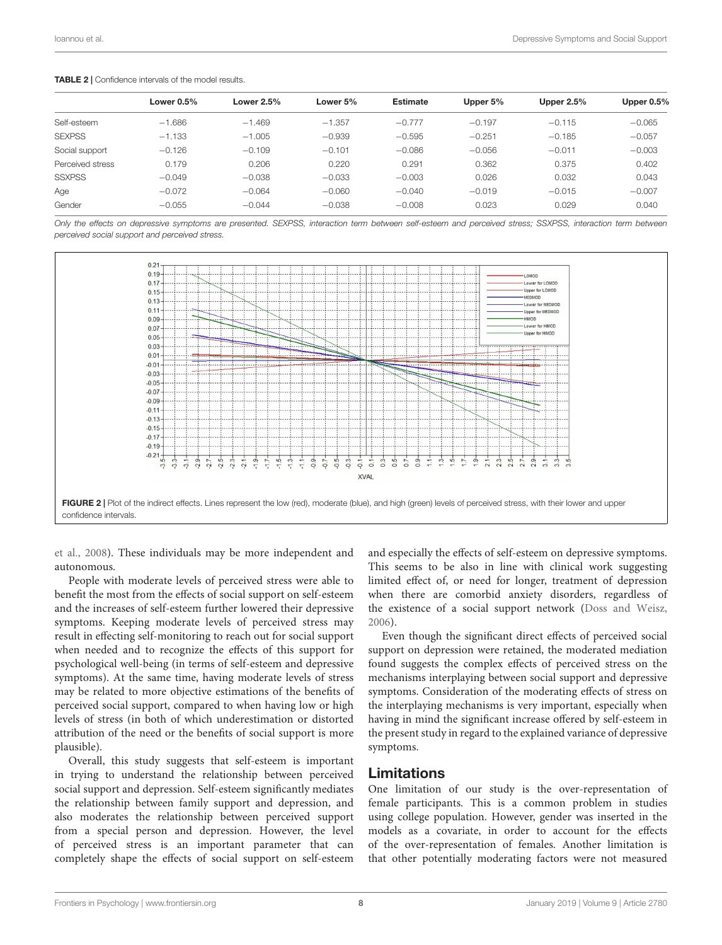#### <span id="page-7-0"></span>TABLE 2 | Confidence intervals of the model results.

|                  | Lower $0.5\%$ | Lower $2.5\%$ | Lower $5\%$ | Estimate | Upper $5%$ | Upper $2.5%$ | Upper $0.5%$ |
|------------------|---------------|---------------|-------------|----------|------------|--------------|--------------|
| Self-esteem      | $-1.686$      | $-1.469$      | $-1.357$    | $-0.777$ | $-0.197$   | $-0.115$     | $-0.065$     |
| <b>SEXPSS</b>    | $-1.133$      | $-1.005$      | $-0.939$    | $-0.595$ | $-0.251$   | $-0.185$     | $-0.057$     |
| Social support   | $-0.126$      | $-0.109$      | $-0.101$    | $-0.086$ | $-0.056$   | $-0.011$     | $-0.003$     |
| Perceived stress | 0.179         | 0.206         | 0.220       | 0.291    | 0.362      | 0.375        | 0.402        |
| <b>SSXPSS</b>    | $-0.049$      | $-0.038$      | $-0.033$    | $-0.003$ | 0.026      | 0.032        | 0.043        |
| Age              | $-0.072$      | $-0.064$      | $-0.060$    | $-0.040$ | $-0.019$   | $-0.015$     | $-0.007$     |
| Gender           | $-0.055$      | $-0.044$      | $-0.038$    | $-0.008$ | 0.023      | 0.029        | 0.040        |
|                  |               |               |             |          |            |              |              |

Only the effects on depressive symptoms are presented. SEXPSS, interaction term between self-esteem and perceived stress; SSXPSS, interaction term between perceived social support and perceived stress.



<span id="page-7-1"></span>[et al.,](#page-9-13) [2008\)](#page-9-13). These individuals may be more independent and autonomous.

People with moderate levels of perceived stress were able to benefit the most from the effects of social support on self-esteem and the increases of self-esteem further lowered their depressive symptoms. Keeping moderate levels of perceived stress may result in effecting self-monitoring to reach out for social support when needed and to recognize the effects of this support for psychological well-being (in terms of self-esteem and depressive symptoms). At the same time, having moderate levels of stress may be related to more objective estimations of the benefits of perceived social support, compared to when having low or high levels of stress (in both of which underestimation or distorted attribution of the need or the benefits of social support is more plausible).

Overall, this study suggests that self-esteem is important in trying to understand the relationship between perceived social support and depression. Self-esteem significantly mediates the relationship between family support and depression, and also moderates the relationship between perceived support from a special person and depression. However, the level of perceived stress is an important parameter that can completely shape the effects of social support on self-esteem

and especially the effects of self-esteem on depressive symptoms. This seems to be also in line with clinical work suggesting limited effect of, or need for longer, treatment of depression when there are comorbid anxiety disorders, regardless of the existence of a social support network [\(Doss and Weisz,](#page-9-39) [2006\)](#page-9-39).

Even though the significant direct effects of perceived social support on depression were retained, the moderated mediation found suggests the complex effects of perceived stress on the mechanisms interplaying between social support and depressive symptoms. Consideration of the moderating effects of stress on the interplaying mechanisms is very important, especially when having in mind the significant increase offered by self-esteem in the present study in regard to the explained variance of depressive symptoms.

## Limitations

One limitation of our study is the over-representation of female participants. This is a common problem in studies using college population. However, gender was inserted in the models as a covariate, in order to account for the effects of the over-representation of females. Another limitation is that other potentially moderating factors were not measured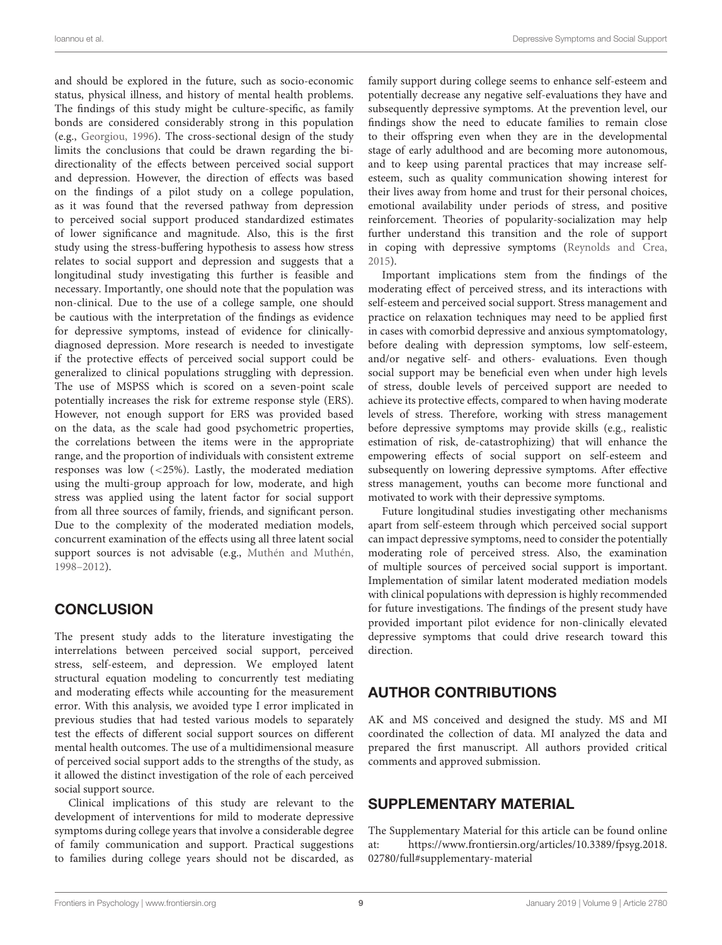and should be explored in the future, such as socio-economic status, physical illness, and history of mental health problems. The findings of this study might be culture-specific, as family bonds are considered considerably strong in this population (e.g., [Georgiou,](#page-9-40) [1996\)](#page-9-40). The cross-sectional design of the study limits the conclusions that could be drawn regarding the bidirectionality of the effects between perceived social support and depression. However, the direction of effects was based on the findings of a pilot study on a college population, as it was found that the reversed pathway from depression to perceived social support produced standardized estimates of lower significance and magnitude. Also, this is the first study using the stress-buffering hypothesis to assess how stress relates to social support and depression and suggests that a longitudinal study investigating this further is feasible and necessary. Importantly, one should note that the population was non-clinical. Due to the use of a college sample, one should be cautious with the interpretation of the findings as evidence for depressive symptoms, instead of evidence for clinicallydiagnosed depression. More research is needed to investigate if the protective effects of perceived social support could be generalized to clinical populations struggling with depression. The use of MSPSS which is scored on a seven-point scale potentially increases the risk for extreme response style (ERS). However, not enough support for ERS was provided based on the data, as the scale had good psychometric properties, the correlations between the items were in the appropriate range, and the proportion of individuals with consistent extreme responses was low (<25%). Lastly, the moderated mediation using the multi-group approach for low, moderate, and high stress was applied using the latent factor for social support from all three sources of family, friends, and significant person. Due to the complexity of the moderated mediation models, concurrent examination of the effects using all three latent social support sources is not advisable (e.g., [Muthén and Muthén,](#page-9-33) [1998–2012\)](#page-9-33).

## **CONCLUSION**

The present study adds to the literature investigating the interrelations between perceived social support, perceived stress, self-esteem, and depression. We employed latent structural equation modeling to concurrently test mediating and moderating effects while accounting for the measurement error. With this analysis, we avoided type I error implicated in previous studies that had tested various models to separately test the effects of different social support sources on different mental health outcomes. The use of a multidimensional measure of perceived social support adds to the strengths of the study, as it allowed the distinct investigation of the role of each perceived social support source.

Clinical implications of this study are relevant to the development of interventions for mild to moderate depressive symptoms during college years that involve a considerable degree of family communication and support. Practical suggestions to families during college years should not be discarded, as

family support during college seems to enhance self-esteem and potentially decrease any negative self-evaluations they have and subsequently depressive symptoms. At the prevention level, our findings show the need to educate families to remain close to their offspring even when they are in the developmental stage of early adulthood and are becoming more autonomous, and to keep using parental practices that may increase selfesteem, such as quality communication showing interest for their lives away from home and trust for their personal choices, emotional availability under periods of stress, and positive reinforcement. Theories of popularity-socialization may help further understand this transition and the role of support in coping with depressive symptoms [\(Reynolds and Crea,](#page-9-41) [2015\)](#page-9-41).

Important implications stem from the findings of the moderating effect of perceived stress, and its interactions with self-esteem and perceived social support. Stress management and practice on relaxation techniques may need to be applied first in cases with comorbid depressive and anxious symptomatology, before dealing with depression symptoms, low self-esteem, and/or negative self- and others- evaluations. Even though social support may be beneficial even when under high levels of stress, double levels of perceived support are needed to achieve its protective effects, compared to when having moderate levels of stress. Therefore, working with stress management before depressive symptoms may provide skills (e.g., realistic estimation of risk, de-catastrophizing) that will enhance the empowering effects of social support on self-esteem and subsequently on lowering depressive symptoms. After effective stress management, youths can become more functional and motivated to work with their depressive symptoms.

Future longitudinal studies investigating other mechanisms apart from self-esteem through which perceived social support can impact depressive symptoms, need to consider the potentially moderating role of perceived stress. Also, the examination of multiple sources of perceived social support is important. Implementation of similar latent moderated mediation models with clinical populations with depression is highly recommended for future investigations. The findings of the present study have provided important pilot evidence for non-clinically elevated depressive symptoms that could drive research toward this direction.

## AUTHOR CONTRIBUTIONS

AK and MS conceived and designed the study. MS and MI coordinated the collection of data. MI analyzed the data and prepared the first manuscript. All authors provided critical comments and approved submission.

## <span id="page-8-0"></span>SUPPLEMENTARY MATERIAL

The Supplementary Material for this article can be found online at: [https://www.frontiersin.org/articles/10.3389/fpsyg.2018.](https://www.frontiersin.org/articles/10.3389/fpsyg.2018.02780/full#supplementary-material) [02780/full#supplementary-material](https://www.frontiersin.org/articles/10.3389/fpsyg.2018.02780/full#supplementary-material)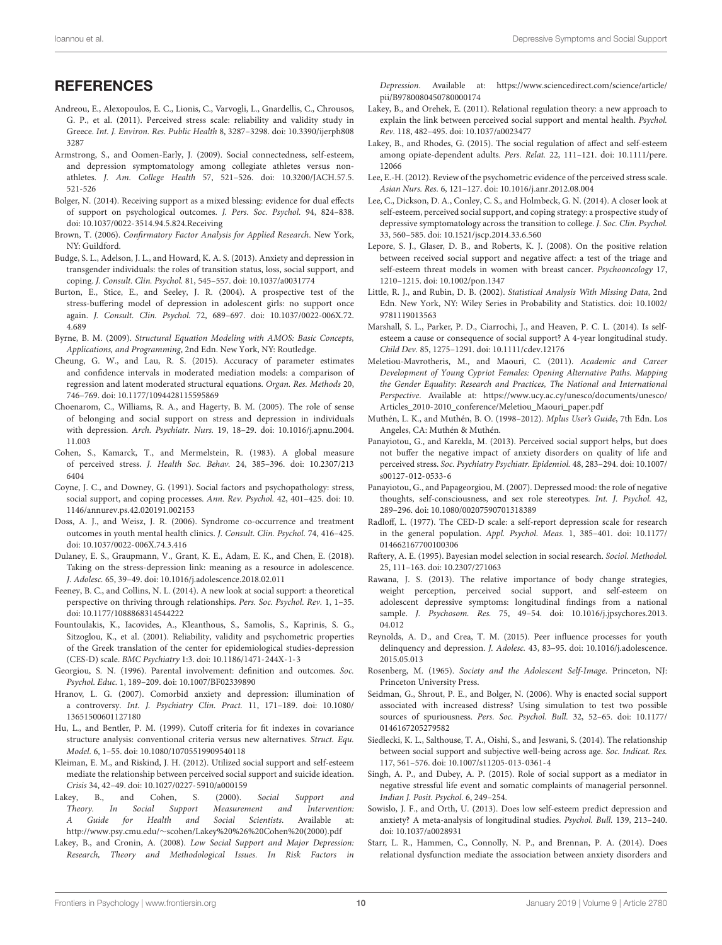## **REFERENCES**

- <span id="page-9-27"></span>Andreou, E., Alexopoulos, E. C., Lionis, C., Varvogli, L., Gnardellis, C., Chrousos, G. P., et al. (2011). Perceived stress scale: reliability and validity study in Greece. Int. J. Environ. Res. Public Health 8, 3287–3298. [doi: 10.3390/ijerph808](https://doi.org/10.3390/ijerph8083287) [3287](https://doi.org/10.3390/ijerph8083287)
- <span id="page-9-1"></span>Armstrong, S., and Oomen-Early, J. (2009). Social connectedness, self-esteem, and depression symptomatology among collegiate athletes versus nonathletes. J. Am. College Health 57, 521–526. [doi: 10.3200/JACH.57.5.](https://doi.org/10.3200/JACH.57.5.521-526) [521-526](https://doi.org/10.3200/JACH.57.5.521-526)
- <span id="page-9-14"></span>Bolger, N. (2014). Receiving support as a mixed blessing: evidence for dual effects of support on psychological outcomes. J. Pers. Soc. Psychol. 94, 824–838. [doi: 10.1037/0022-3514.94.5.824.Receiving](https://doi.org/10.1037/0022-3514.94.5.824.Receiving)
- <span id="page-9-34"></span>Brown, T. (2006). Confirmatory Factor Analysis for Applied Research. New York, NY: Guildford.
- <span id="page-9-20"></span>Budge, S. L., Adelson, J. L., and Howard, K. A. S. (2013). Anxiety and depression in transgender individuals: the roles of transition status, loss, social support, and coping. J. Consult. Clin. Psychol. 81, 545–557. [doi: 10.1037/a0031774](https://doi.org/10.1037/a0031774)
- <span id="page-9-18"></span>Burton, E., Stice, E., and Seeley, J. R. (2004). A prospective test of the stress-buffering model of depression in adolescent girls: no support once again. J. Consult. Clin. Psychol. 72, 689–697. [doi: 10.1037/0022-006X.72.](https://doi.org/10.1037/0022-006X.72.4.689) [4.689](https://doi.org/10.1037/0022-006X.72.4.689)
- <span id="page-9-29"></span>Byrne, B. M. (2009). Structural Equation Modeling with AMOS: Basic Concepts, Applications, and Programming, 2nd Edn. New York, NY: Routledge.
- <span id="page-9-30"></span>Cheung, G. W., and Lau, R. S. (2015). Accuracy of parameter estimates and confidence intervals in moderated mediation models: a comparison of regression and latent moderated structural equations. Organ. Res. Methods 20, 746–769. [doi: 10.1177/1094428115595869](https://doi.org/10.1177/1094428115595869)
- <span id="page-9-6"></span>Choenarom, C., Williams, R. A., and Hagerty, B. M. (2005). The role of sense of belonging and social support on stress and depression in individuals with depression. Arch. Psychiatr. Nurs. 19, 18–29. [doi: 10.1016/j.apnu.2004.](https://doi.org/10.1016/j.apnu.2004.11.003) [11.003](https://doi.org/10.1016/j.apnu.2004.11.003)
- <span id="page-9-25"></span>Cohen, S., Kamarck, T., and Mermelstein, R. (1983). A global measure of perceived stress. J. Health Soc. Behav. 24, 385–396. [doi: 10.2307/213](https://doi.org/10.2307/2136404) [6404](https://doi.org/10.2307/2136404)
- <span id="page-9-37"></span>Coyne, J. C., and Downey, G. (1991). Social factors and psychopathology: stress, social support, and coping processes. Ann. Rev. Psychol. 42, 401–425. [doi: 10.](https://doi.org/10.1146/annurev.ps.42.020191.002153) [1146/annurev.ps.42.020191.002153](https://doi.org/10.1146/annurev.ps.42.020191.002153)
- <span id="page-9-39"></span>Doss, A. J., and Weisz, J. R. (2006). Syndrome co-occurrence and treatment outcomes in youth mental health clinics. J. Consult. Clin. Psychol. 74, 416–425. [doi: 10.1037/0022-006X.74.3.416](https://doi.org/10.1037/0022-006X.74.3.416)
- <span id="page-9-38"></span>Dulaney, E. S., Graupmann, V., Grant, K. E., Adam, E. K., and Chen, E. (2018). Taking on the stress-depression link: meaning as a resource in adolescence. J. Adolesc. 65, 39–49. [doi: 10.1016/j.adolescence.2018.02.011](https://doi.org/10.1016/j.adolescence.2018.02.011)
- <span id="page-9-11"></span>Feeney, B. C., and Collins, N. L. (2014). A new look at social support: a theoretical perspective on thriving through relationships. Pers. Soc. Psychol. Rev. 1, 1–35. [doi: 10.1177/1088868314544222](https://doi.org/10.1177/1088868314544222)
- <span id="page-9-22"></span>Fountoulakis, K., Iacovides, A., Kleanthous, S., Samolis, S., Kaprinis, S. G., Sitzoglou, K., et al. (2001). Reliability, validity and psychometric properties of the Greek translation of the center for epidemiological studies-depression (CES-D) scale. BMC Psychiatry 1:3. [doi: 10.1186/1471-244X-1-3](https://doi.org/10.1186/1471-244X-1-3)
- <span id="page-9-40"></span>Georgiou, S. N. (1996). Parental involvement: definition and outcomes. Soc. Psychol. Educ. 1, 189–209. [doi: 10.1007/BF02339890](https://doi.org/10.1007/BF02339890)
- <span id="page-9-28"></span>Hranov, L. G. (2007). Comorbid anxiety and depression: illumination of a controversy. Int. J. Psychiatry Clin. Pract. 11, 171–189. [doi: 10.1080/](https://doi.org/10.1080/13651500601127180) [13651500601127180](https://doi.org/10.1080/13651500601127180)
- <span id="page-9-31"></span>Hu, L., and Bentler, P. M. (1999). Cutoff criteria for fit indexes in covariance structure analysis: conventional criteria versus new alternatives. Struct. Equ. Model. 6, 1–55. [doi: 10.1080/10705519909540118](https://doi.org/10.1080/10705519909540118)
- <span id="page-9-9"></span>Kleiman, E. M., and Riskind, J. H. (2012). Utilized social support and self-esteem mediate the relationship between perceived social support and suicide ideation. Crisis 34, 42–49. [doi: 10.1027/0227-5910/a000159](https://doi.org/10.1027/0227-5910/a000159)
- <span id="page-9-5"></span>Lakey, B., and Cohen, S. (2000). Social Support and Theory. In Social Support Measurement and Intervention: Theory. In Social Support Measurement and Intervention: A Guide for Health and Social Scientists. Available at: http://www.psy.cmu.edu/∼[scohen/Lakey%20%26%20Cohen%20\(2000\).pdf](http://www.psy.cmu.edu/~scohen/Lakey%20%26%20Cohen%20(2000).pdf)
- <span id="page-9-17"></span>Lakey, B., and Cronin, A. (2008). Low Social Support and Major Depression: Research, Theory and Methodological Issues. In Risk Factors in

Depression. Available at: [https://www.sciencedirect.com/science/article/](https://www.sciencedirect.com/science/article/pii/B9780080450780000174) [pii/B9780080450780000174](https://www.sciencedirect.com/science/article/pii/B9780080450780000174)

- <span id="page-9-16"></span>Lakey, B., and Orehek, E. (2011). Relational regulation theory: a new approach to explain the link between perceived social support and mental health. Psychol. Rev. 118, 482–495. [doi: 10.1037/a0023477](https://doi.org/10.1037/a0023477)
- <span id="page-9-7"></span>Lakey, B., and Rhodes, G. (2015). The social regulation of affect and self-esteem among opiate-dependent adults. Pers. Relat. 22, 111–121. [doi: 10.1111/pere.](https://doi.org/10.1111/pere.12066) [12066](https://doi.org/10.1111/pere.12066)
- <span id="page-9-26"></span>Lee, E.-H. (2012). Review of the psychometric evidence of the perceived stress scale. Asian Nurs. Res. 6, 121–127. [doi: 10.1016/j.anr.2012.08.004](https://doi.org/10.1016/j.anr.2012.08.004)
- <span id="page-9-8"></span>Lee, C., Dickson, D. A., Conley, C. S., and Holmbeck, G. N. (2014). A closer look at self-esteem, perceived social support, and coping strategy: a prospective study of depressive symptomatology across the transition to college. J. Soc. Clin. Psychol. 33, 560–585. [doi: 10.1521/jscp.2014.33.6.560](https://doi.org/10.1521/jscp.2014.33.6.560)
- <span id="page-9-13"></span>Lepore, S. J., Glaser, D. B., and Roberts, K. J. (2008). On the positive relation between received social support and negative affect: a test of the triage and self-esteem threat models in women with breast cancer. Psychooncology 17, 1210–1215. [doi: 10.1002/pon.1347](https://doi.org/10.1002/pon.1347)
- <span id="page-9-35"></span>Little, R. J., and Rubin, D. B. (2002). Statistical Analysis With Missing Data, 2nd Edn. New York, NY: Wiley Series in Probability and Statistics. [doi: 10.1002/](https://doi.org/10.1002/9781119013563) [9781119013563](https://doi.org/10.1002/9781119013563)
- <span id="page-9-10"></span>Marshall, S. L., Parker, P. D., Ciarrochi, J., and Heaven, P. C. L. (2014). Is selfesteem a cause or consequence of social support? A 4-year longitudinal study. Child Dev. 85, 1275–1291. [doi: 10.1111/cdev.12176](https://doi.org/10.1111/cdev.12176)
- <span id="page-9-36"></span>Meletiou-Mavrotheris, M., and Maouri, C. (2011). Academic and Career Development of Young Cypriot Females: Opening Alternative Paths. Mapping the Gender Equality: Research and Practices, The National and International Perspective. Available at: [https://www.ucy.ac.cy/unesco/documents/unesco/](https://www.ucy.ac.cy/unesco/documents/unesco/Articles_2010-2010_conference/Meletiou_Maouri_paper.pdf) [Articles\\_2010-2010\\_conference/Meletiou\\_Maouri\\_paper.pdf](https://www.ucy.ac.cy/unesco/documents/unesco/Articles_2010-2010_conference/Meletiou_Maouri_paper.pdf)
- <span id="page-9-33"></span>Muthén, L. K., and Muthén, B. O. (1998–2012). Mplus User's Guide, 7th Edn. Los Angeles, CA: Muthén & Muthén.
- <span id="page-9-15"></span>Panayiotou, G., and Karekla, M. (2013). Perceived social support helps, but does not buffer the negative impact of anxiety disorders on quality of life and perceived stress. Soc. Psychiatry Psychiatr. Epidemiol. 48, 283–294. [doi: 10.1007/](https://doi.org/10.1007/s00127-012-0533-6) [s00127-012-0533-6](https://doi.org/10.1007/s00127-012-0533-6)
- <span id="page-9-24"></span>Panayiotou, G., and Papageorgiou, M. (2007). Depressed mood: the role of negative thoughts, self-consciousness, and sex role stereotypes. Int. J. Psychol. 42, 289–296. [doi: 10.1080/00207590701318389](https://doi.org/10.1080/00207590701318389)
- <span id="page-9-21"></span>Radloff, L. (1977). The CED-D scale: a self-report depression scale for research in the general population. Appl. Psychol. Meas. 1, 385–401. [doi: 10.1177/](https://doi.org/10.1177/014662167700100306) [014662167700100306](https://doi.org/10.1177/014662167700100306)
- <span id="page-9-32"></span>Raftery, A. E. (1995). Bayesian model selection in social research. Sociol. Methodol. 25, 111–163. [doi: 10.2307/271063](https://doi.org/10.2307/271063)
- <span id="page-9-2"></span>Rawana, J. S. (2013). The relative importance of body change strategies, weight perception, perceived social support, and self-esteem on adolescent depressive symptoms: longitudinal findings from a national sample. J. Psychosom. Res. 75, 49–54. [doi: 10.1016/j.jpsychores.2013.](https://doi.org/10.1016/j.jpsychores.2013.04.012) [04.012](https://doi.org/10.1016/j.jpsychores.2013.04.012)
- <span id="page-9-41"></span>Reynolds, A. D., and Crea, T. M. (2015). Peer influence processes for youth delinquency and depression. J. Adolesc. 43, 83–95. [doi: 10.1016/j.adolescence.](https://doi.org/10.1016/j.adolescence.2015.05.013) [2015.05.013](https://doi.org/10.1016/j.adolescence.2015.05.013)
- <span id="page-9-23"></span>Rosenberg, M. (1965). Society and the Adolescent Self-Image. Princeton, NJ: Princeton University Press.
- <span id="page-9-12"></span>Seidman, G., Shrout, P. E., and Bolger, N. (2006). Why is enacted social support associated with increased distress? Using simulation to test two possible sources of spuriousness. Pers. Soc. Psychol. Bull. 32, 52–65. [doi: 10.1177/](https://doi.org/10.1177/0146167205279582) [0146167205279582](https://doi.org/10.1177/0146167205279582)
- <span id="page-9-0"></span>Siedlecki, K. L., Salthouse, T. A., Oishi, S., and Jeswani, S. (2014). The relationship between social support and subjective well-being across age. Soc. Indicat. Res. 117, 561–576. [doi: 10.1007/s11205-013-0361-4](https://doi.org/10.1007/s11205-013-0361-4)
- <span id="page-9-3"></span>Singh, A. P., and Dubey, A. P. (2015). Role of social support as a mediator in negative stressful life event and somatic complaints of managerial personnel. Indian J. Posit. Psychol. 6, 249–254.
- <span id="page-9-19"></span>Sowislo, J. F., and Orth, U. (2013). Does low self-esteem predict depression and anxiety? A meta-analysis of longitudinal studies. Psychol. Bull. 139, 213–240. [doi: 10.1037/a0028931](https://doi.org/10.1037/a0028931)
- <span id="page-9-4"></span>Starr, L. R., Hammen, C., Connolly, N. P., and Brennan, P. A. (2014). Does relational dysfunction mediate the association between anxiety disorders and